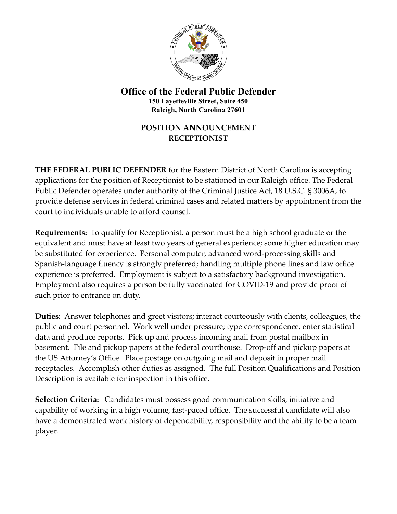

**Office of the Federal Public Defender 150 Fayetteville Street, Suite 450 Raleigh, North Carolina 27601**

## **POSITION ANNOUNCEMENT RECEPTIONIST**

**THE FEDERAL PUBLIC DEFENDER** for the Eastern District of North Carolina is accepting applications for the position of Receptionist to be stationed in our Raleigh office. The Federal Public Defender operates under authority of the Criminal Justice Act, 18 U.S.C. § 3006A, to provide defense services in federal criminal cases and related matters by appointment from the court to individuals unable to afford counsel.

**Requirements:** To qualify for Receptionist, a person must be a high school graduate or the equivalent and must have at least two years of general experience; some higher education may be substituted for experience. Personal computer, advanced word-processing skills and Spanish-language fluency is strongly preferred; handling multiple phone lines and law office experience is preferred. Employment is subject to a satisfactory background investigation. Employment also requires a person be fully vaccinated for COVID-19 and provide proof of such prior to entrance on duty.

**Duties:** Answer telephones and greet visitors; interact courteously with clients, colleagues, the public and court personnel. Work well under pressure; type correspondence, enter statistical data and produce reports. Pick up and process incoming mail from postal mailbox in basement. File and pickup papers at the federal courthouse. Drop-off and pickup papers at the US Attorney's Office. Place postage on outgoing mail and deposit in proper mail receptacles. Accomplish other duties as assigned. The full Position Qualifications and Position Description is available for inspection in this office.

**Selection Criteria:** Candidates must possess good communication skills, initiative and capability of working in a high volume, fast-paced office. The successful candidate will also have a demonstrated work history of dependability, responsibility and the ability to be a team player.